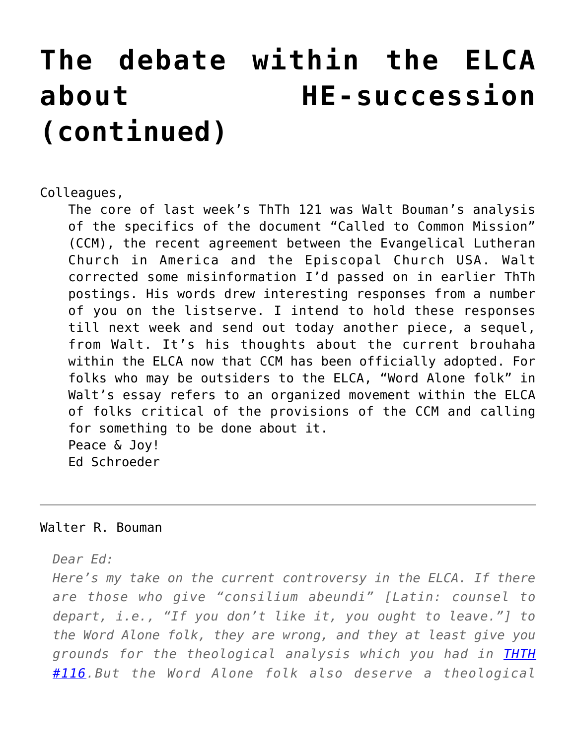## **[The debate within the ELCA](https://crossings.org/the-debate-within-the-elca-about-he-succession-continued/) [about HE-succession](https://crossings.org/the-debate-within-the-elca-about-he-succession-continued/) [\(continued\)](https://crossings.org/the-debate-within-the-elca-about-he-succession-continued/)**

Colleagues,

The core of last week's ThTh 121 was Walt Bouman's analysis of the specifics of the document "Called to Common Mission" (CCM), the recent agreement between the Evangelical Lutheran Church in America and the Episcopal Church USA. Walt corrected some misinformation I'd passed on in earlier ThTh postings. His words drew interesting responses from a number of you on the listserve. I intend to hold these responses till next week and send out today another piece, a sequel, from Walt. It's his thoughts about the current brouhaha within the ELCA now that CCM has been officially adopted. For folks who may be outsiders to the ELCA, "Word Alone folk" in Walt's essay refers to an organized movement within the ELCA of folks critical of the provisions of the CCM and calling for something to be done about it. Peace & Joy! Ed Schroeder

## Walter R. Bouman

*Dear Ed:*

*Here's my take on the current controversy in the ELCA. If there are those who give "consilium abeundi" [Latin: counsel to depart, i.e., "If you don't like it, you ought to leave."] to the Word Alone folk, they are wrong, and they at least give you grounds for the theological analysis which you had in [THTH](https://crossings.org/thursday/2000/thur0831.shtml) [#116.](https://crossings.org/thursday/2000/thur0831.shtml)But the Word Alone folk also deserve a theological*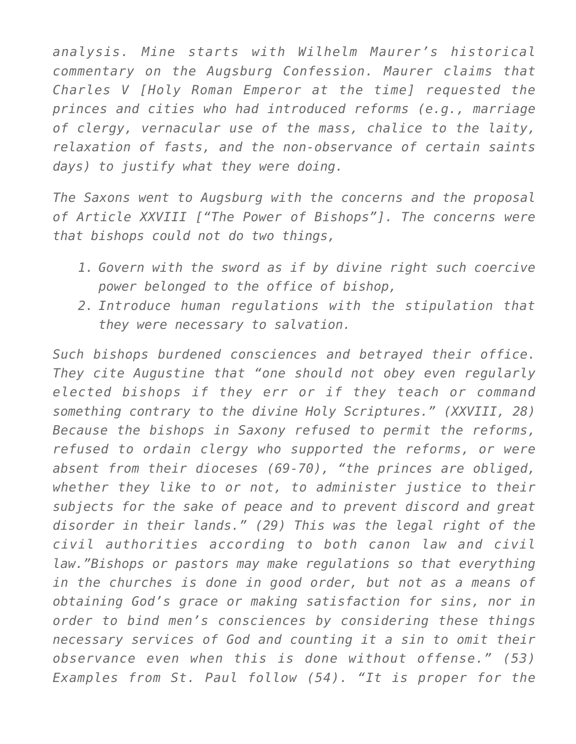*analysis. Mine starts with Wilhelm Maurer's historical commentary on the Augsburg Confession. Maurer claims that Charles V [Holy Roman Emperor at the time] requested the princes and cities who had introduced reforms (e.g., marriage of clergy, vernacular use of the mass, chalice to the laity, relaxation of fasts, and the non-observance of certain saints days) to justify what they were doing.*

*The Saxons went to Augsburg with the concerns and the proposal of Article XXVIII ["The Power of Bishops"]. The concerns were that bishops could not do two things,*

- *1. Govern with the sword as if by divine right such coercive power belonged to the office of bishop,*
- *2. Introduce human regulations with the stipulation that they were necessary to salvation.*

*Such bishops burdened consciences and betrayed their office. They cite Augustine that "one should not obey even regularly elected bishops if they err or if they teach or command something contrary to the divine Holy Scriptures." (XXVIII, 28) Because the bishops in Saxony refused to permit the reforms, refused to ordain clergy who supported the reforms, or were absent from their dioceses (69-70), "the princes are obliged, whether they like to or not, to administer justice to their subjects for the sake of peace and to prevent discord and great disorder in their lands." (29) This was the legal right of the civil authorities according to both canon law and civil law."Bishops or pastors may make regulations so that everything in the churches is done in good order, but not as a means of obtaining God's grace or making satisfaction for sins, nor in order to bind men's consciences by considering these things necessary services of God and counting it a sin to omit their observance even when this is done without offense." (53) Examples from St. Paul follow (54). "It is proper for the*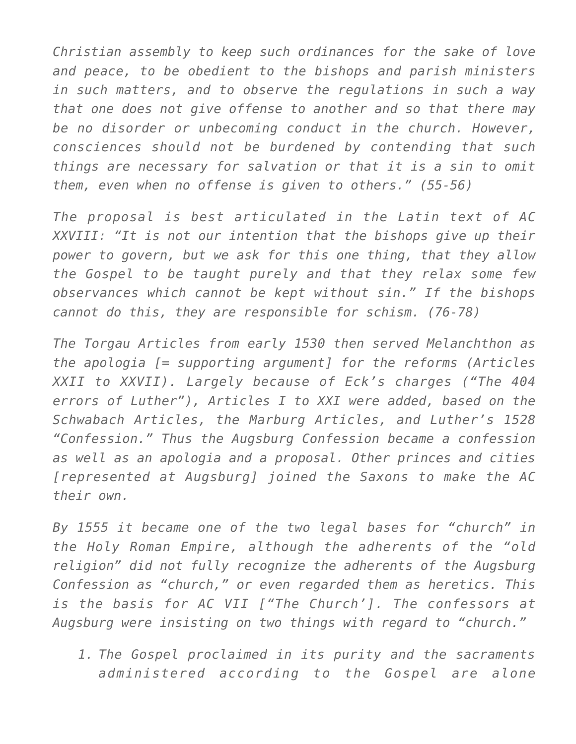*Christian assembly to keep such ordinances for the sake of love and peace, to be obedient to the bishops and parish ministers in such matters, and to observe the regulations in such a way that one does not give offense to another and so that there may be no disorder or unbecoming conduct in the church. However, consciences should not be burdened by contending that such things are necessary for salvation or that it is a sin to omit them, even when no offense is given to others." (55-56)*

*The proposal is best articulated in the Latin text of AC XXVIII: "It is not our intention that the bishops give up their power to govern, but we ask for this one thing, that they allow the Gospel to be taught purely and that they relax some few observances which cannot be kept without sin." If the bishops cannot do this, they are responsible for schism. (76-78)*

*The Torgau Articles from early 1530 then served Melanchthon as the apologia [= supporting argument] for the reforms (Articles XXII to XXVII). Largely because of Eck's charges ("The 404 errors of Luther"), Articles I to XXI were added, based on the Schwabach Articles, the Marburg Articles, and Luther's 1528 "Confession." Thus the Augsburg Confession became a confession as well as an apologia and a proposal. Other princes and cities [represented at Augsburg] joined the Saxons to make the AC their own.*

*By 1555 it became one of the two legal bases for "church" in the Holy Roman Empire, although the adherents of the "old religion" did not fully recognize the adherents of the Augsburg Confession as "church," or even regarded them as heretics. This is the basis for AC VII ["The Church']. The confessors at Augsburg were insisting on two things with regard to "church."*

*1. The Gospel proclaimed in its purity and the sacraments administered according to the Gospel are alone*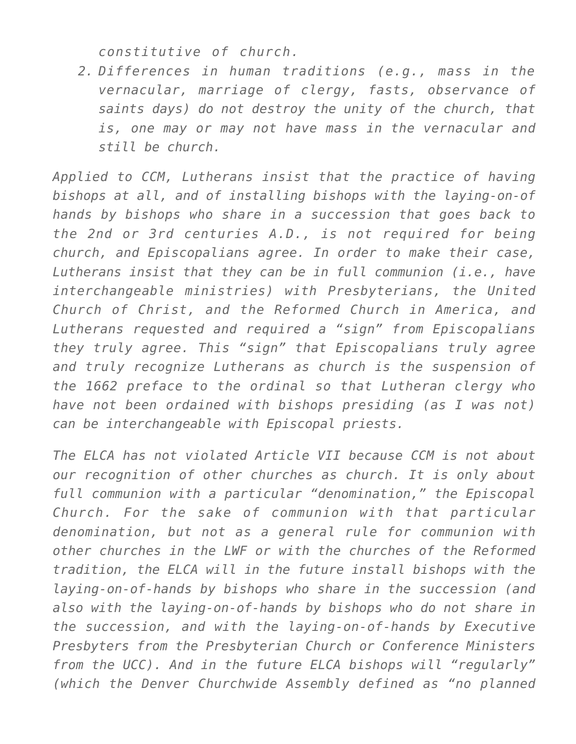*constitutive of church.*

*2. Differences in human traditions (e.g., mass in the vernacular, marriage of clergy, fasts, observance of saints days) do not destroy the unity of the church, that is, one may or may not have mass in the vernacular and still be church.*

*Applied to CCM, Lutherans insist that the practice of having bishops at all, and of installing bishops with the laying-on-of hands by bishops who share in a succession that goes back to the 2nd or 3rd centuries A.D., is not required for being church, and Episcopalians agree. In order to make their case, Lutherans insist that they can be in full communion (i.e., have interchangeable ministries) with Presbyterians, the United Church of Christ, and the Reformed Church in America, and Lutherans requested and required a "sign" from Episcopalians they truly agree. This "sign" that Episcopalians truly agree and truly recognize Lutherans as church is the suspension of the 1662 preface to the ordinal so that Lutheran clergy who have not been ordained with bishops presiding (as I was not) can be interchangeable with Episcopal priests.*

*The ELCA has not violated Article VII because CCM is not about our recognition of other churches as church. It is only about full communion with a particular "denomination," the Episcopal Church. For the sake of communion with that particular denomination, but not as a general rule for communion with other churches in the LWF or with the churches of the Reformed tradition, the ELCA will in the future install bishops with the laying-on-of-hands by bishops who share in the succession (and also with the laying-on-of-hands by bishops who do not share in the succession, and with the laying-on-of-hands by Executive Presbyters from the Presbyterian Church or Conference Ministers from the UCC). And in the future ELCA bishops will "regularly" (which the Denver Churchwide Assembly defined as "no planned*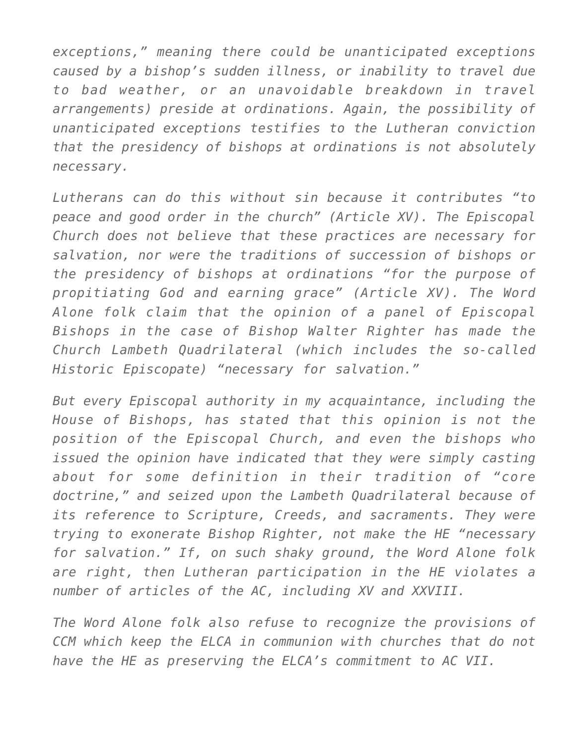*exceptions," meaning there could be unanticipated exceptions caused by a bishop's sudden illness, or inability to travel due to bad weather, or an unavoidable breakdown in travel arrangements) preside at ordinations. Again, the possibility of unanticipated exceptions testifies to the Lutheran conviction that the presidency of bishops at ordinations is not absolutely necessary.*

*Lutherans can do this without sin because it contributes "to peace and good order in the church" (Article XV). The Episcopal Church does not believe that these practices are necessary for salvation, nor were the traditions of succession of bishops or the presidency of bishops at ordinations "for the purpose of propitiating God and earning grace" (Article XV). The Word Alone folk claim that the opinion of a panel of Episcopal Bishops in the case of Bishop Walter Righter has made the Church Lambeth Quadrilateral (which includes the so-called Historic Episcopate) "necessary for salvation."*

*But every Episcopal authority in my acquaintance, including the House of Bishops, has stated that this opinion is not the position of the Episcopal Church, and even the bishops who issued the opinion have indicated that they were simply casting about for some definition in their tradition of "core doctrine," and seized upon the Lambeth Quadrilateral because of its reference to Scripture, Creeds, and sacraments. They were trying to exonerate Bishop Righter, not make the HE "necessary for salvation." If, on such shaky ground, the Word Alone folk are right, then Lutheran participation in the HE violates a number of articles of the AC, including XV and XXVIII.*

*The Word Alone folk also refuse to recognize the provisions of CCM which keep the ELCA in communion with churches that do not have the HE as preserving the ELCA's commitment to AC VII.*